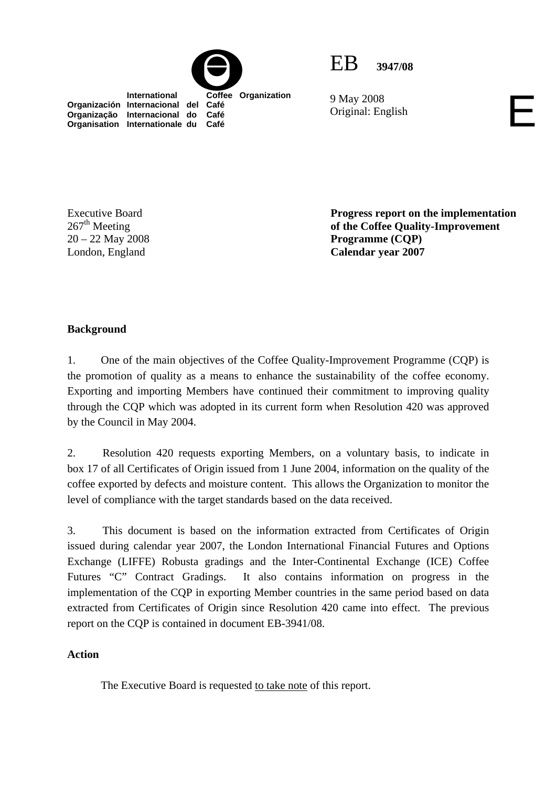



9 May 2008 9 May 2008<br>Original: English

**Organización Internacional del Café Organização Internacional do Café Organisation Internationale du Café**

Executive Board  $267<sup>th</sup>$  Meeting 20 – 22 May 2008 London, England

**Progress report on the implementation of the Coffee Quality-Improvement Programme (CQP) Calendar year 2007** 

# **Background**

1. One of the main objectives of the Coffee Quality-Improvement Programme (CQP) is the promotion of quality as a means to enhance the sustainability of the coffee economy. Exporting and importing Members have continued their commitment to improving quality through the CQP which was adopted in its current form when Resolution 420 was approved by the Council in May 2004.

2. Resolution 420 requests exporting Members, on a voluntary basis, to indicate in box 17 of all Certificates of Origin issued from 1 June 2004, information on the quality of the coffee exported by defects and moisture content. This allows the Organization to monitor the level of compliance with the target standards based on the data received.

3. This document is based on the information extracted from Certificates of Origin issued during calendar year 2007, the London International Financial Futures and Options Exchange (LIFFE) Robusta gradings and the Inter-Continental Exchange (ICE) Coffee Futures "C" Contract Gradings. It also contains information on progress in the implementation of the CQP in exporting Member countries in the same period based on data extracted from Certificates of Origin since Resolution 420 came into effect. The previous report on the CQP is contained in document EB-3941/08.

## **Action**

The Executive Board is requested to take note of this report.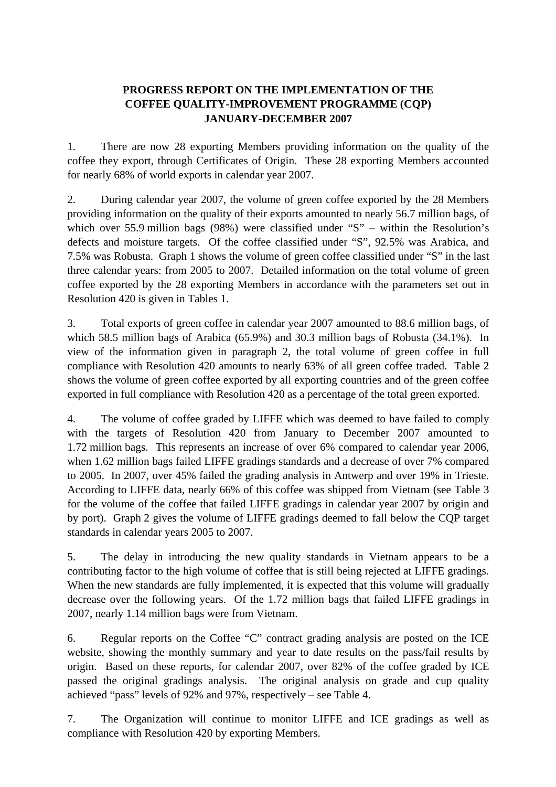## **PROGRESS REPORT ON THE IMPLEMENTATION OF THE COFFEE QUALITY-IMPROVEMENT PROGRAMME (CQP) JANUARY-DECEMBER 2007**

1. There are now 28 exporting Members providing information on the quality of the coffee they export, through Certificates of Origin. These 28 exporting Members accounted for nearly 68% of world exports in calendar year 2007.

2. During calendar year 2007, the volume of green coffee exported by the 28 Members providing information on the quality of their exports amounted to nearly 56.7 million bags, of which over 55.9 million bags (98%) were classified under "S" – within the Resolution's defects and moisture targets. Of the coffee classified under "S", 92.5% was Arabica, and 7.5% was Robusta. Graph 1 shows the volume of green coffee classified under "S" in the last three calendar years: from 2005 to 2007. Detailed information on the total volume of green coffee exported by the 28 exporting Members in accordance with the parameters set out in Resolution 420 is given in Tables 1.

3. Total exports of green coffee in calendar year 2007 amounted to 88.6 million bags, of which 58.5 million bags of Arabica (65.9%) and 30.3 million bags of Robusta (34.1%). In view of the information given in paragraph 2, the total volume of green coffee in full compliance with Resolution 420 amounts to nearly 63% of all green coffee traded. Table 2 shows the volume of green coffee exported by all exporting countries and of the green coffee exported in full compliance with Resolution 420 as a percentage of the total green exported.

4. The volume of coffee graded by LIFFE which was deemed to have failed to comply with the targets of Resolution 420 from January to December 2007 amounted to 1.72 million bags. This represents an increase of over 6% compared to calendar year 2006, when 1.62 million bags failed LIFFE gradings standards and a decrease of over 7% compared to 2005. In 2007, over 45% failed the grading analysis in Antwerp and over 19% in Trieste. According to LIFFE data, nearly 66% of this coffee was shipped from Vietnam (see Table 3 for the volume of the coffee that failed LIFFE gradings in calendar year 2007 by origin and by port). Graph 2 gives the volume of LIFFE gradings deemed to fall below the CQP target standards in calendar years 2005 to 2007.

5. The delay in introducing the new quality standards in Vietnam appears to be a contributing factor to the high volume of coffee that is still being rejected at LIFFE gradings. When the new standards are fully implemented, it is expected that this volume will gradually decrease over the following years. Of the 1.72 million bags that failed LIFFE gradings in 2007, nearly 1.14 million bags were from Vietnam.

6. Regular reports on the Coffee "C" contract grading analysis are posted on the ICE website, showing the monthly summary and year to date results on the pass/fail results by origin. Based on these reports, for calendar 2007, over 82% of the coffee graded by ICE passed the original gradings analysis. The original analysis on grade and cup quality achieved "pass" levels of 92% and 97%, respectively – see Table 4.

7. The Organization will continue to monitor LIFFE and ICE gradings as well as compliance with Resolution 420 by exporting Members.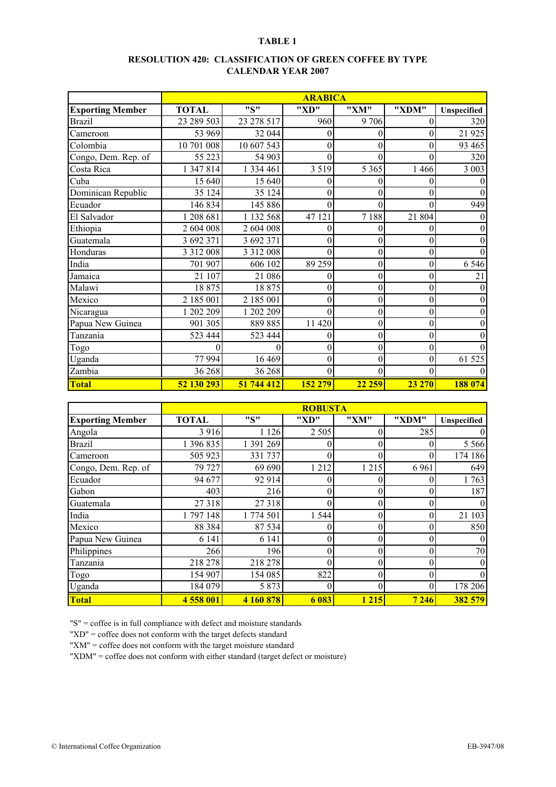## **RESOLUTION 420: CLASSIFICATION OF GREEN COFFEE BY TYPE CALENDAR YEAR 2007**

|                         |               |               | <b>ARABICA</b>   |                  |                  |                  |
|-------------------------|---------------|---------------|------------------|------------------|------------------|------------------|
| <b>Exporting Member</b> | <b>TOTAL</b>  | "S"           | "XD"             | "XM"             | "XDM"            | Unspecified      |
| <b>Brazil</b>           | 23 289 503    | 23 278 517    | 960              | 9706             | $\overline{0}$   | 320              |
| Cameroon                | 53 969        | 32 044        | $\boldsymbol{0}$ | 0                | $\boldsymbol{0}$ | 21 9 25          |
| Colombia                | 10 701 008    | 10 607 543    | $\theta$         | 0                | $\theta$         | 93 4 65          |
| Congo, Dem. Rep. of     | 55 223        | 54 903        | $\theta$         | 0                | $\Omega$         | 320              |
| Costa Rica              | 1 347 814     | 1 334 461     | 3 5 1 9          | 5 3 6 5          | 1 4 6 6          | 3 0 0 3          |
| Cuba                    | 15 640        | 15 640        | $\theta$         | 0                | 0                | 0                |
| Dominican Republic      | 35 124        | 35 124        | $\Omega$         | 0                | 0                | $\theta$         |
| Ecuador                 | 146 834       | 145 886       | $\theta$         | 0                | 0                | 949              |
| El Salvador             | 1 208 681     | 1 132 568     | 47 121           | 7188             | 21 804           | $\theta$         |
| Ethiopia                | 2 604 008     | 2 604 008     | $\overline{0}$   | 0                | 0                | $\theta$         |
| Guatemala               | 3 692 371     | 3 692 371     | $\theta$         | 0                | $\theta$         | $\theta$         |
| Honduras                | 3 3 1 2 0 0 8 | 3 3 1 2 0 0 8 | $\theta$         | 0                | $\boldsymbol{0}$ | $\theta$         |
| India                   | 701 907       | 606 102       | 89 25 9          | 0                | $\boldsymbol{0}$ | 6 5 4 6          |
| Jamaica                 | 21 107        | 21 086        | $\overline{0}$   | 0                | $\overline{0}$   | 21               |
| Malawi                  | 18875         | 18875         | $\mathbf{0}$     | 0                | $\theta$         | $\theta$         |
| Mexico                  | 2 185 001     | 2 185 001     | $\mathbf{0}$     | $\boldsymbol{0}$ | $\theta$         | $\theta$         |
| Nicaragua               | 1 202 209     | 1 202 209     | $\theta$         | $\boldsymbol{0}$ | $\theta$         | $\theta$         |
| Papua New Guinea        | 901 305       | 889 885       | 11 420           | $\boldsymbol{0}$ | $\boldsymbol{0}$ | $\boldsymbol{0}$ |
| Tanzania                | 523 444       | 523 444       | $\overline{0}$   | 0                | $\boldsymbol{0}$ | $\theta$         |
| Togo                    | 0             | $\theta$      | $\theta$         | $\boldsymbol{0}$ | $\boldsymbol{0}$ | $\Omega$         |
| Uganda                  | 77 994        | 16 4 69       | $\overline{0}$   | 0                | $\boldsymbol{0}$ | 61 525           |
| Zambia                  | 36 268        | 36 268        | $\theta$         | 0                | 0                | $\theta$         |
| <b>Total</b>            | 52 130 293    | 51 744 412    | 152 279          | 22 259           | 23 270           | 188 074          |

|                         |              |           | <b>ROBUSTA</b> |          |          |              |
|-------------------------|--------------|-----------|----------------|----------|----------|--------------|
| <b>Exporting Member</b> | <b>TOTAL</b> | "S"       | "XD"           | "XM"     | "XDM"    | Unspecified  |
| Angola                  | 3 9 1 6      | 1 1 2 6   | 2 5 0 5        | 0        | 285      | $\theta$     |
| <b>Brazil</b>           | 1 396 835    | 1 391 269 |                |          |          | 5 5 6 6      |
| Cameroon                | 505 923      | 331 737   | 0              | 0        |          | 174 186      |
| Congo, Dem. Rep. of     | 79 727       | 69 690    | 1 2 1 2        | 1 2 1 5  | 6961     | 649          |
| Ecuador                 | 94 677       | 92 914    | 0              | 0        | 0        | 1763         |
| Gabon                   | 403          | 216       | $\theta$       | 0        | 0        | 187          |
| Guatemala               | 27 318       | 27318     | 0              | 0        |          | $\theta$     |
| India                   | 1797148      | 1 774 501 | 1 5 4 4        | 0        |          | 21 103       |
| Mexico                  | 88 3 84      | 87 534    | 0              | $\theta$ | 0        | 850          |
| Papua New Guinea        | 6 1 4 1      | 6 1 4 1   | 0              | 0        |          | $\mathbf{0}$ |
| Philippines             | 266          | 196       | $\theta$       | $\Omega$ | $\theta$ | 70           |
| Tanzania                | 218 278      | 218 278   | 0              | 0        | $\Omega$ | $\mathbf{0}$ |
| Togo                    | 154 907      | 154 085   | 822            | 0        |          | $\theta$     |
| Uganda                  | 184 079      | 5 8 7 3   | 0              | 0        | 0        | 178 206      |
| <b>Total</b>            | 4 558 001    | 4 160 878 | 6 0 8 3        | 1 2 1 5  | 7 246    | 382 579      |

"S" = coffee is in full compliance with defect and moisture standards

"XD" = coffee does not conform with the target defects standard

"XM" = coffee does not conform with the target moisture standard

"XDM" = coffee does not conform with either standard (target defect or moisture)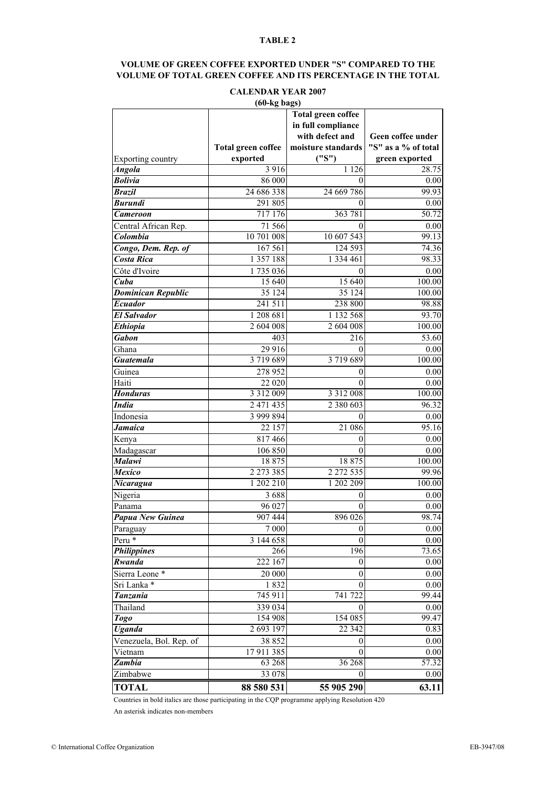### **VOLUME OF GREEN COFFEE EXPORTED UNDER "S" COMPARED TO THE VOLUME OF TOTAL GREEN COFFEE AND ITS PERCENTAGE IN THE TOTAL**

## **CALENDAR YEAR 2007**

|                           |                           | <b>Total green coffee</b> |                     |
|---------------------------|---------------------------|---------------------------|---------------------|
|                           |                           | in full compliance        |                     |
|                           |                           | with defect and           | Geen coffee under   |
|                           | <b>Total green coffee</b> | moisture standards        | "S" as a % of total |
| <b>Exporting country</b>  | exported                  | ("S")                     | green exported      |
| Angola                    | 3 9 1 6                   | 1 1 2 6                   | 28.75               |
| <b>Bolivia</b>            | 86 000                    | 0                         | 0.00                |
| <b>Brazil</b>             | 24 686 338                | 24 669 786                | 99.93               |
| <b>Burundi</b>            | 291 805                   | 0                         | 0.00                |
| <b>Cameroon</b>           | 717 176                   | 363 781                   | 50.72               |
| Central African Rep.      | 71 566                    | 0                         | 0.00                |
| Colombia                  | 10 701 008                | 10 607 543                | 99.13               |
| Congo, Dem. Rep. of       | 167 561                   | 124 593                   | 74.36               |
| <b>Costa Rica</b>         | 1 357 188                 | 1 3 3 4 4 6 1             | 98.33               |
| Côte d'Ivoire             | 1735036                   | 0                         | 0.00                |
| Cuba                      | 15 640                    | 15 640                    | 100.00              |
| <b>Dominican Republic</b> | 35 124                    | 35 124                    | 100.00              |
| <b>Ecuador</b>            | 241 511                   | 238 800                   | 98.88               |
| <b>El Salvador</b>        | 1 208 681                 | 1 132 568                 | 93.70               |
| <b>Ethiopia</b>           | 2 604 008                 | 2 604 008                 | $\overline{100}.00$ |
| <b>Gabon</b>              | 403                       | 216                       | 53.60               |
| Ghana                     | 29 916                    | 0                         | 0.00                |
| <b>Guatemala</b>          | 3719689                   | 3719689                   | 100.00              |
| Guinea                    | 278 952                   | 0                         | 0.00                |
| Haiti                     | 22 020                    | $\Omega$                  | 0.00                |
| <b>Honduras</b>           | 3 3 1 2 0 0 9             | 3 3 1 2 0 0 8             | 100.00              |
| <b>India</b>              | 2 471 435                 | 2 3 8 0 6 0 3             | 96.32               |
| Indonesia                 | 3 999 894                 | 0                         | 0.00                |
| <b>Jamaica</b>            | 22 157                    | 21 08 6                   | 95.16               |
| Kenya                     | 817466                    | 0                         | 0.00                |
| Madagascar                | 106 850                   | $\theta$                  | 0.00                |
| <b>Malawi</b>             | 18875                     | 18875                     | 100.00              |
| <b>Mexico</b>             | 2 2 7 3 3 8 5             | 2 2 7 2 5 3 5             | 99.96               |
| Nicaragua                 | 1 202 210                 | 1 202 209                 | 100.00              |
| Nigeria                   | 3688                      | 0                         | 0.00                |
| Panama                    | 96 027                    | 0                         | 0.00                |
| Papua New Guinea          | 907444                    | 896 026                   | 98.74               |
| Paraguay                  | $7\ 000$                  | $\boldsymbol{0}$          | 0.00                |
| Peru *                    | 3 144 658                 | $\theta$                  | 0.00                |
| <b>Philippines</b>        | 266                       | 196                       | 73.65               |
| Rwanda                    | $\overline{222}$ 167      | 0                         | 0.00                |
| Sierra Leone*             | 20 000                    | $\boldsymbol{0}$          | 0.00                |
| Sri Lanka *               | 1832                      | 0                         | $0.00\,$            |
| <b>Tanzania</b>           | 745 911                   | 741 722                   | 99.44               |
| Thailand                  | 339 034                   | $^{(1)}$                  | 0.00                |
| <b>Togo</b>               | 154 908                   | 154 085                   | 99.47               |
| <b>Uganda</b>             | 2 693 197                 | 22 3 4 2                  | 0.83                |
| Venezuela, Bol. Rep. of   | 38 852                    | 0                         | 0.00                |
| Vietnam                   | 17911385                  | 0                         | 0.00                |
| <b>Zambia</b>             | 63 268                    | 36 268                    | 57.32               |
| Zimbabwe                  | 33 078                    | 0                         | 0.00                |
| <b>TOTAL</b>              | 88 580 531                | 55 905 290                | 63.11               |

Countries in bold italics are those participating in the CQP programme applying Resolution 420

An asterisk indicates non-members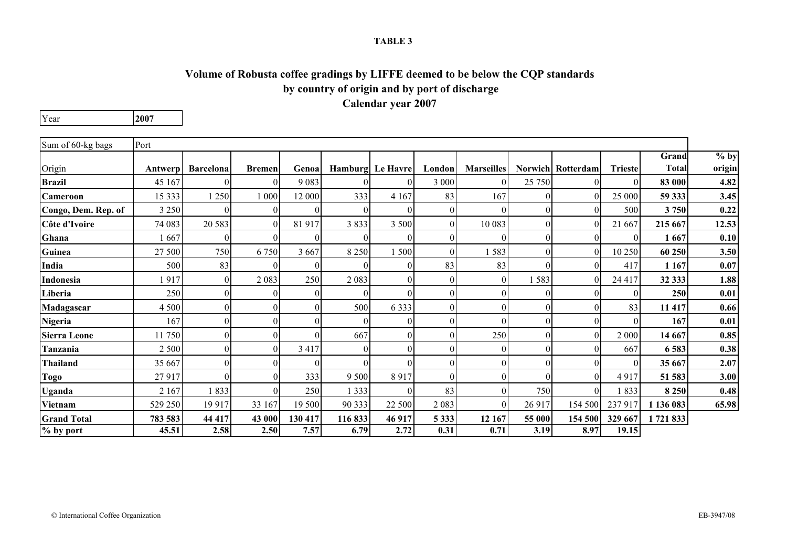## **Volume of Robusta coffee gradings by LIFFE deemed to be below the CQP standards by country of origin and by port of discharge Calendar year 2007**

Year**2007**

| Sum of 60-kg bags   | Port     |                  |               |          |          |                  |                  |                   |          |                          |                |              |        |
|---------------------|----------|------------------|---------------|----------|----------|------------------|------------------|-------------------|----------|--------------------------|----------------|--------------|--------|
|                     |          |                  |               |          |          |                  |                  |                   |          |                          |                | Grand        | $%$ by |
| Origin              | Antwerpl | <b>Barcelona</b> | <b>Bremen</b> | Genoa    |          | Hamburg Le Havre | London           | <b>Marseilles</b> |          | <b>Norwich Rotterdam</b> | <b>Trieste</b> | <b>Total</b> | origin |
| <b>Brazil</b>       | 45 167   |                  | 01            | 9083     |          | 0                | 3 000            | $\Omega$          | 25 750   | 0                        | $\Omega$       | 83 000       | 4.82   |
| Cameroon            | 15 3 33  | 1 250            | 1 000         | 12 000   | 333      | 4 1 6 7          | 83               | 167               | $\Omega$ | 0                        | 25 000         | 59 333       | 3.45   |
| Congo, Dem. Rep. of | 3 2 5 0  | 0                | 01            | $\theta$ | $\Omega$ | $\theta$         | $\overline{0}$   | $\Omega$          | $\theta$ | $\Omega$                 | 500            | 3750         | 0.22   |
| Côte d'Ivoire       | 74 083   | 20 5 83          | $\Omega$      | 81 917   | 3833     | 3 500            | $\overline{0}$   | 10 083            | $\theta$ | $\Omega$                 | 21 667         | 215 667      | 12.53  |
| Ghana               | 667      | 0                | ΩI            | 0        |          | $\theta$         | $\boldsymbol{0}$ | $\Omega$          | $\theta$ | $\Omega$                 | $\Omega$       | 1667         | 0.10   |
| Guinea              | 27 500   | 750              | 6750          | 3 6 6 7  | 8 2 5 0  | 500              | $\overline{0}$   | 1583              | $\theta$ | $\Omega$                 | 10 250         | 60 250       | 3.50   |
| India               | 500      | 83               | $\Omega$      | $\theta$ |          | $\theta$         | 83               | 83                | $\Omega$ | 0                        | 417            | 1 1 6 7      | 0.07   |
| Indonesia           | 917      | 0                | 2083          | 250      | 2 0 8 3  | $\theta$         | $\overline{0}$   | $\mathbf{0}$      | 583      | $\Omega$                 | 24 4 17        | 32 333       | 1.88   |
| Liberia             | 250      | $\boldsymbol{0}$ | 01            | $\Omega$ |          | $\Omega$         | $\overline{0}$   | $\Omega$          | $\theta$ | $\Omega$                 | $\Omega$       | 250          | 0.01   |
| Madagascar          | 4 500    | $\boldsymbol{0}$ | 01            | $\Omega$ | 500      | 6 3 3 3          | $\overline{0}$   | $\Omega$          | $\theta$ | $\Omega$                 | 83             | 11 417       | 0.66   |
| Nigeria             | 167      | $\boldsymbol{0}$ | 01            | 0        |          | $\theta$         | $\overline{0}$   | $\Omega$          | $\theta$ | $\Omega$                 | $\Omega$       | 167          | 0.01   |
| <b>Sierra Leone</b> | 1750     | $\theta$         | ΩI            | ∩        | 667      | $\theta$         | $\Omega$         | 250               | $\theta$ | $\Omega$                 | 2 000          | 14 667       | 0.85   |
| Tanzania            | 2 500    | $\theta$         | ΩI            | 3 4 1 7  |          | $\theta$         | $\overline{0}$   | $\Omega$          | $\theta$ |                          | 667            | 6583         | 0.38   |
| <b>Thailand</b>     | 35 667   | $\theta$         | 01            | $\Omega$ |          | $\theta$         | $\overline{0}$   | $\Omega$          | $\theta$ | $\Omega$                 | $\Omega$       | 35 667       | 2.07   |
| <b>Togo</b>         | 27917    | $\theta$         | 01            | 333      | 9 5 0 0  | 8917             | $\boldsymbol{0}$ | $\Omega$          |          | $\Omega$                 | 4917           | 51 583       | 3.00   |
| Uganda              | 2 1 6 7  | 1833             | 01            | 250      | 1 3 3 3  | $\Omega$         | 83               | $\Omega$          | 750      | ∩                        | 1833           | 8 2 5 0      | 0.48   |
| Vietnam             | 529 250  | 19 917           | 33 167        | 19 500   | 90 333   | 22 500           | 2083             | $\Omega$          | 26 917   | 154 500                  | 237917         | 1 136 083    | 65.98  |
| <b>Grand Total</b>  | 783 583  | 44 417           | 43 000        | 130 417  | 116833   | 46 917           | 5 3 3 3          | 12 167            | 55 000   | 154 500                  | 329 667        | 1721833      |        |
| % by port           | 45.51    | 2.58             | 2.50          | 7.57     | 6.79     | 2.72             | 0.31             | 0.71              | 3.19     | 8.97                     | 19.15          |              |        |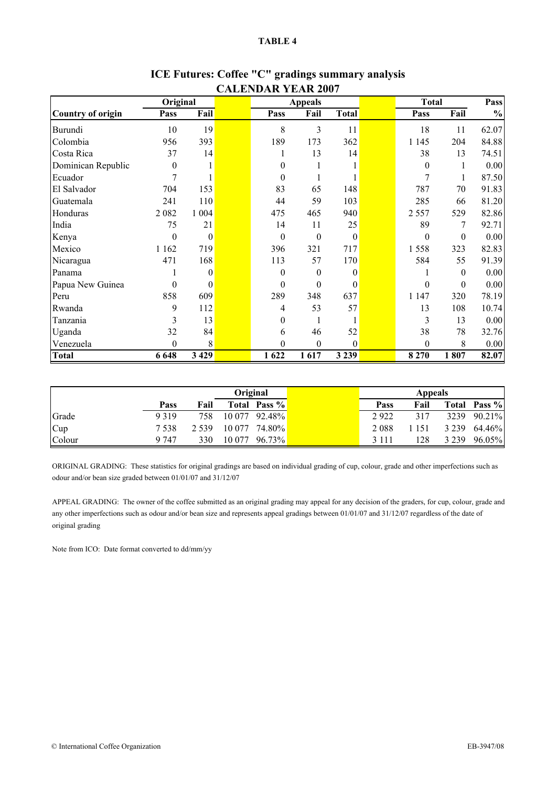| Original                 |                  |                  | <b>Appeals</b>   |                  | <b>Total</b>     |                  | Pass             |               |
|--------------------------|------------------|------------------|------------------|------------------|------------------|------------------|------------------|---------------|
| <b>Country of origin</b> | Pass             | Fail             | Pass             | Fail             | <b>Total</b>     | Pass             | Fail             | $\frac{0}{0}$ |
| Burundi                  | 10               | 19               | 8                | 3                | 11               | 18               | 11               | 62.07         |
| Colombia                 | 956              | 393              | 189              | 173              | 362              | 1 1 4 5          | 204              | 84.88         |
| Costa Rica               | 37               | 14               |                  | 13               | 14               | 38               | 13               | 74.51         |
| Dominican Republic       | $\theta$         | 1                | 0                |                  |                  | $\boldsymbol{0}$ | 1                | 0.00          |
| Ecuador                  | 7                |                  | $\overline{0}$   |                  |                  | 7                |                  | 87.50         |
| El Salvador              | 704              | 153              | 83               | 65               | 148              | 787              | 70               | 91.83         |
| Guatemala                | 241              | 110              | 44               | 59               | 103              | 285              | 66               | 81.20         |
| Honduras                 | 2082             | 1 0 0 4          | 475              | 465              | 940              | 2 5 5 7          | 529              | 82.86         |
| India                    | 75               | 21               | 14               | 11               | 25               | 89               | 7                | 92.71         |
| Kenya                    | $\theta$         | $\mathbf{0}$     | $\mathbf{0}$     | $\theta$         | $\boldsymbol{0}$ | $\boldsymbol{0}$ | $\boldsymbol{0}$ | 0.00          |
| Mexico                   | 1 1 6 2          | 719              | 396              | 321              | 717              | 1558             | 323              | 82.83         |
| Nicaragua                | 471              | 168              | 113              | 57               | 170              | 584              | 55               | 91.39         |
| Panama                   |                  | $\theta$         | $\overline{0}$   | $\mathbf{0}$     | $\theta$         |                  | $\theta$         | 0.00          |
| Papua New Guinea         | $\theta$         | $\boldsymbol{0}$ | $\overline{0}$   | $\mathbf{0}$     | 0                | 0                | $\boldsymbol{0}$ | 0.00          |
| Peru                     | 858              | 609              | 289              | 348              | 637              | 1 1 4 7          | 320              | 78.19         |
| Rwanda                   | 9                | 112              | 4                | 53               | 57               | 13               | 108              | 10.74         |
| Tanzania                 | 3                | 13               | $\boldsymbol{0}$ |                  |                  | 3                | 13               | 0.00          |
| Uganda                   | 32               | 84               | 6                | 46               | 52               | 38               | 78               | 32.76         |
| Venezuela                | $\boldsymbol{0}$ | $\,8\,$          | $\boldsymbol{0}$ | $\boldsymbol{0}$ | $\boldsymbol{0}$ | $\boldsymbol{0}$ | 8                | 0.00          |
| <b>Total</b>             | 6 6 4 8          | 3 4 2 9          | 1622             | 1617             | 3 2 3 9          | 8 2 7 0          | 1807             | 82.07         |

## **ICE Futures: Coffee "C" gradings summary analysis CALENDAR YEAR 2007**

|        |         |         | Original |               |         | <b>Appeals</b> |         |              |
|--------|---------|---------|----------|---------------|---------|----------------|---------|--------------|
|        | Pass    | Fail    |          | Total Pass %  | Pass    | Fail           |         | Total Pass % |
| Grade  | 9319    | 758     |          | 10 077 92.48% | 2922    | 317            | 3239    | 90.21%       |
| Cup    | 7538    | 2 5 3 9 |          | 10 077 74.80% | 2088    | 1 151          | 3 2 3 9 | 64.46%       |
| Colour | 9 7 4 7 | 330     | 10 077   | 96.73%        | 3 1 1 1 | 128            | 3 2 3 9 | 96.05%       |

ORIGINAL GRADING: These statistics for original gradings are based on individual grading of cup, colour, grade and other imperfections such as odour and/or bean size graded between 01/01/07 and 31/12/07

APPEAL GRADING: The owner of the coffee submitted as an original grading may appeal for any decision of the graders, for cup, colour, grade and any other imperfections such as odour and/or bean size and represents appeal gradings between 01/01/07 and 31/12/07 regardless of the date of original grading

Note from ICO: Date format converted to dd/mm/yy